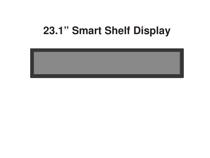# **23.1" Smart Shelf Display**

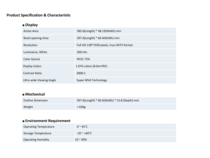#### Product Specification & Characteristic

# ■ Display

| Active Area              | 585.6(Length) * 48.19(Width) mm           |
|--------------------------|-------------------------------------------|
| Bezel opening Area       | 597.4(Length) * 60.4(Width) mm            |
| Resolution               | Full HD 158*1920 pixels, true HDTV format |
| Luminance, White         | 500 nits                                  |
| Color Gamut              | <b>NTSC 72%</b>                           |
| <b>Display Colors</b>    | 1.07G colors (8-bit+FRC)                  |
| <b>Contrast Ratio</b>    | 3000:1                                    |
| Ultra wide Viewing Angle | Super MVA Technology                      |

## ■ Mechanical

| Outline Dimension | 597.4(Length) * 60.4(Width) * 15.8 (Depth) mm |
|-------------------|-----------------------------------------------|
| Weight            | $< 630$ g                                     |

## ■ Environment Requirement

| Operating Temperature     | $0 \approx 45^{\circ}$ C |
|---------------------------|--------------------------|
| Storage Temperature       | $-20$ $\sim$ +60°C $\,$  |
| <b>Operating Humidity</b> | $10 - 90%$               |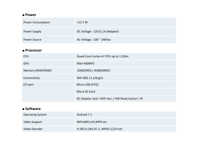#### ■ Power

| <b>Power Consumption</b> | $<$ 13.7 W                         |
|--------------------------|------------------------------------|
| Power Supply             | DC Voltage: 12V/2.1A (Adapter)     |
| Power Source             | AC Voltage : $100 \approx 240$ Vac |

## ■ Processor

| <b>CPU</b>       | Quad-Core Cortex-A7 CPU up to 1.2GHz               |  |
|------------------|----------------------------------------------------|--|
| <b>GPU</b>       | Mali-400MP2                                        |  |
| Memory (RAM/ROM) | 1GB(DDR3) / 4GB(EMMC)                              |  |
| Connectivity     | WiFi 802.11 a/b/g/n                                |  |
| $I/O$ port       | Micro USB (OTG)                                    |  |
|                  | Micro SD Card                                      |  |
|                  | DC Adapter Jack / WiFi Ant. / HW Reset button / IR |  |

# ■ Software

| Operating System | Android 7.1                        |
|------------------|------------------------------------|
| Video Support    | MP4, MKV, AVI, MP3 etc.            |
| Video Decoder    | H.265, H.264, VC-1, MPEG-1/2/4 etc |